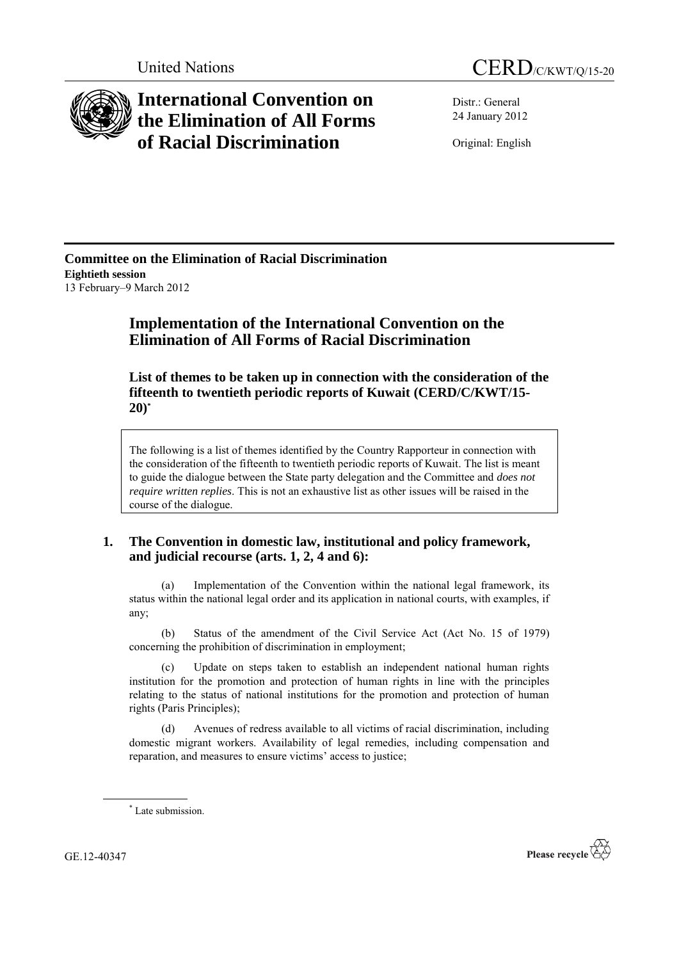

# **International Convention on the Elimination of All Forms of Racial Discrimination**

Distr.: General 24 January 2012

Original: English

**Committee on the Elimination of Racial Discrimination Eightieth session** 13 February–9 March 2012

# **Implementation of the International Convention on the Elimination of All Forms of Racial Discrimination**

**List of themes to be taken up in connection with the consideration of the fifteenth to twentieth periodic reports of Kuwait (CERD/C/KWT/15- 20) \***

The following is a list of themes identified by the Country Rapporteur in connection with the consideration of the fifteenth to twentieth periodic reports of Kuwait. The list is meant to guide the dialogue between the State party delegation and the Committee and *does not require written replies*. This is not an exhaustive list as other issues will be raised in the course of the dialogue.

## **1. The Convention in domestic law, institutional and policy framework, and judicial recourse (arts. 1, 2, 4 and 6):**

Implementation of the Convention within the national legal framework, its status within the national legal order and its application in national courts, with examples, if any;

(b) Status of the amendment of the Civil Service Act (Act No. 15 of 1979) concerning the prohibition of discrimination in employment;

(c) Update on steps taken to establish an independent national human rights institution for the promotion and protection of human rights in line with the principles relating to the status of national institutions for the promotion and protection of human rights (Paris Principles);

(d) Avenues of redress available to all victims of racial discrimination, including domestic migrant workers. Availability of legal remedies, including compensation and reparation, and measures to ensure victims' access to justice;

GE.12-40347



<sup>\*</sup> Late submission.